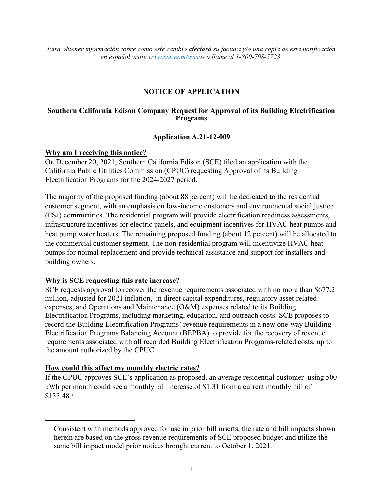*Para obtener información sobre como este cambio afectará su factura y/o una copia de esta notificación en español visite www.sce.com/avisos o llame al 1-800-798-5723.*

## **NOTICE OF APPLICATION**

### **Southern California Edison Company Request for Approval of its Building Electrification Programs**

### **Application A.21-12-009**

### **Why am I receiving this notice?**

On December 20, 2021, Southern California Edison (SCE) filed an application with the California Public Utilities Commission (CPUC) requesting Approval of its Building Electrification Programs for the 2024-2027 period.

The majority of the proposed funding (about 88 percent) will be dedicated to the residential customer segment, with an emphasis on low-income customers and environmental social justice (ESJ) communities. The residential program will provide electrification readiness assessments, infrastructure incentives for electric panels, and equipment incentives for HVAC heat pumps and heat pump water heaters. The remaining proposed funding (about 12 percent) will be allocated to the commercial customer segment. The non-residential program will incentivize HVAC heat pumps for normal replacement and provide technical assistance and support for installers and building owners.

## **Why is SCE requesting this rate increase?**

SCE requests approval to recover the revenue requirements associated with no more than \$677.2 million, adjusted for 2021 inflation, in direct capital expenditures, regulatory asset-related expenses, and Operations and Maintenance (O&M) expenses related to its Building Electrification Programs, including marketing, education, and outreach costs. SCE proposes to record the Building Electrification Programs' revenue requirements in a new one-way Building Electrification Programs Balancing Account (BEPBA) to provide for the recovery of revenue requirements associated with all recorded Building Electrification Programs-related costs, up to the amount authorized by the CPUC.

#### **How could this affect my monthly electric rates?**

If the CPUC approves SCE's application as proposed, an average residential customer using 500 kWh per month could see a monthly bill increase of \$1.31 from a current monthly bill of \$135.48[.1](#page-0-0)

<span id="page-0-0"></span><sup>&</sup>lt;sup>1</sup> Consistent with methods approved for use in prior bill inserts, the rate and bill impacts shown herein are based on the gross revenue requirements of SCE proposed budget and utilize the same bill impact model prior notices brought current to October 1, 2021.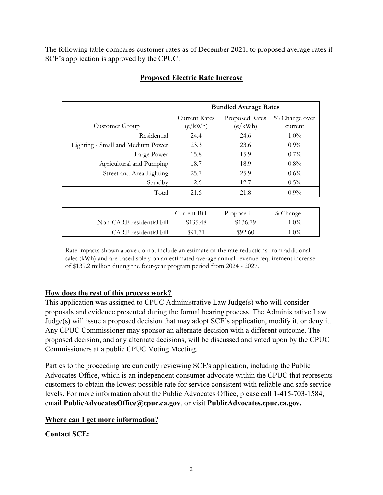The following table compares customer rates as of December 2021, to proposed average rates if SCE's application is approved by the CPUC:

|                                                 | <b>Bundled Average Rates</b>                     |                                            |                          |  |
|-------------------------------------------------|--------------------------------------------------|--------------------------------------------|--------------------------|--|
| Customer Group                                  | <b>Current Rates</b><br>$(\frac{\epsilon}{kWh})$ | Proposed Rates<br>$(\frac{\epsilon}{kWh})$ | % Change over<br>current |  |
| Residential                                     | 24.4                                             | 24.6                                       | $1.0\%$                  |  |
| Lighting - Small and Medium Power               | 23.3                                             | 23.6                                       | $0.9\%$                  |  |
| Large Power                                     | 15.8                                             | 15.9                                       | $0.7\%$                  |  |
| Agricultural and Pumping                        | 18.7                                             | 18.9                                       | $0.8\%$                  |  |
| Street and Area Lighting                        | 25.7                                             | 25.9                                       | $0.6\%$                  |  |
| Standby                                         | 12.6                                             | 12.7                                       | $0.5\%$                  |  |
| Total                                           | 21.6                                             | 21.8                                       | $0.9\%$                  |  |
|                                                 |                                                  |                                            |                          |  |
|                                                 | Current Bill                                     | Proposed                                   | $%$ Change               |  |
| $\cdots$<br>$\bigcap$ $\bigcap$<br>$\mathbf{r}$ | $M = 10$                                         | $M = 20$                                   | $\lambda$ 00 $\lambda$   |  |

# **Proposed Electric Rate Increase**

|                           | Current Bill | Proposed | $\%$ Change |  |
|---------------------------|--------------|----------|-------------|--|
| Non-CARE residential bill | \$135.48     | \$136.79 | $1.0\%$     |  |
| CARE residential bill     | \$91.71      | \$92.60  | $1.0\%$     |  |

Rate impacts shown above do not include an estimate of the rate reductions from additional sales (kWh) and are based solely on an estimated average annual revenue requirement increase of \$139.2 million during the four-year program period from 2024 - 2027.

# **How does the rest of this process work?**

This application was assigned to CPUC Administrative Law Judge(s) who will consider proposals and evidence presented during the formal hearing process. The Administrative Law Judge(s) will issue a proposed decision that may adopt SCE's application, modify it, or deny it. Any CPUC Commissioner may sponsor an alternate decision with a different outcome. The proposed decision, and any alternate decisions, will be discussed and voted upon by the CPUC Commissioners at a public CPUC Voting Meeting.

Parties to the proceeding are currently reviewing SCE's application, including the Public Advocates Office, which is an independent consumer advocate within the CPUC that represents customers to obtain the lowest possible rate for service consistent with reliable and safe service levels. For more information about the Public Advocates Office, please call 1-415-703-1584, email **PublicAdvocatesOffice@cpuc.ca.gov**, or visit **PublicAdvocates.cpuc.ca.gov.** 

# **Where can I get more information?**

**Contact SCE:**